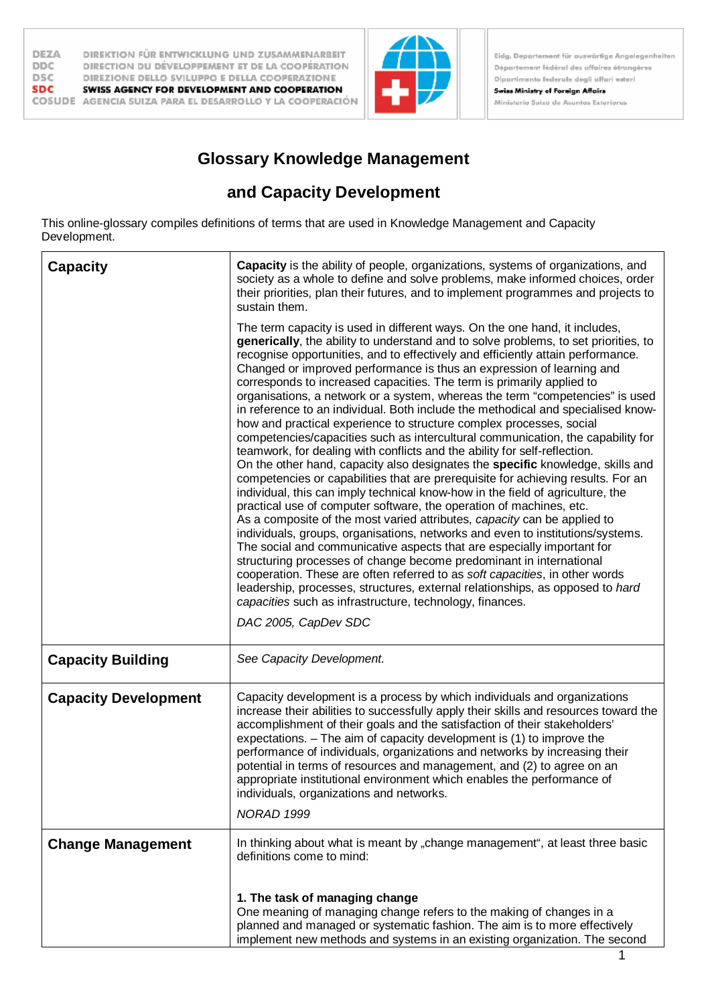

Eidg. Departement für auswärtige Angelegenheiten Département fédéral des affaires étrangères Dipartimento federale degli affari esteri **Swiss Ministry of Foreign Affairs** 

Ministerio Suizo de Asuntos Exteriores

## **Glossary Knowledge Management**

## **and Capacity Development**

This online-glossary compiles definitions of terms that are used in Knowledge Management and Capacity Development.

| <b>Capacity</b>             | Capacity is the ability of people, organizations, systems of organizations, and<br>society as a whole to define and solve problems, make informed choices, order<br>their priorities, plan their futures, and to implement programmes and projects to<br>sustain them.                                                                                                                                                                                                                                                                                                                                                                                                                                                                                                                                                                                                                                                                                                                                                                                                                                                                                                                                                                                                                                                                                                                                                                                                                                                                                                                                                                                                                                               |
|-----------------------------|----------------------------------------------------------------------------------------------------------------------------------------------------------------------------------------------------------------------------------------------------------------------------------------------------------------------------------------------------------------------------------------------------------------------------------------------------------------------------------------------------------------------------------------------------------------------------------------------------------------------------------------------------------------------------------------------------------------------------------------------------------------------------------------------------------------------------------------------------------------------------------------------------------------------------------------------------------------------------------------------------------------------------------------------------------------------------------------------------------------------------------------------------------------------------------------------------------------------------------------------------------------------------------------------------------------------------------------------------------------------------------------------------------------------------------------------------------------------------------------------------------------------------------------------------------------------------------------------------------------------------------------------------------------------------------------------------------------------|
|                             | The term capacity is used in different ways. On the one hand, it includes,<br>generically, the ability to understand and to solve problems, to set priorities, to<br>recognise opportunities, and to effectively and efficiently attain performance.<br>Changed or improved performance is thus an expression of learning and<br>corresponds to increased capacities. The term is primarily applied to<br>organisations, a network or a system, whereas the term "competencies" is used<br>in reference to an individual. Both include the methodical and specialised know-<br>how and practical experience to structure complex processes, social<br>competencies/capacities such as intercultural communication, the capability for<br>teamwork, for dealing with conflicts and the ability for self-reflection.<br>On the other hand, capacity also designates the specific knowledge, skills and<br>competencies or capabilities that are prerequisite for achieving results. For an<br>individual, this can imply technical know-how in the field of agriculture, the<br>practical use of computer software, the operation of machines, etc.<br>As a composite of the most varied attributes, capacity can be applied to<br>individuals, groups, organisations, networks and even to institutions/systems.<br>The social and communicative aspects that are especially important for<br>structuring processes of change become predominant in international<br>cooperation. These are often referred to as soft capacities, in other words<br>leadership, processes, structures, external relationships, as opposed to hard<br>capacities such as infrastructure, technology, finances.<br>DAC 2005, CapDev SDC |
| <b>Capacity Building</b>    | See Capacity Development.                                                                                                                                                                                                                                                                                                                                                                                                                                                                                                                                                                                                                                                                                                                                                                                                                                                                                                                                                                                                                                                                                                                                                                                                                                                                                                                                                                                                                                                                                                                                                                                                                                                                                            |
| <b>Capacity Development</b> | Capacity development is a process by which individuals and organizations<br>increase their abilities to successfully apply their skills and resources toward the<br>accomplishment of their goals and the satisfaction of their stakeholders'<br>expectations. $-$ The aim of capacity development is (1) to improve the<br>performance of individuals, organizations and networks by increasing their<br>potential in terms of resources and management, and (2) to agree on an<br>appropriate institutional environment which enables the performance of<br>individuals, organizations and networks.<br>NORAD 1999                                                                                                                                                                                                                                                                                                                                                                                                                                                                                                                                                                                                                                                                                                                                                                                                                                                                                                                                                                                                                                                                                                 |
| <b>Change Management</b>    | In thinking about what is meant by "change management", at least three basic<br>definitions come to mind:                                                                                                                                                                                                                                                                                                                                                                                                                                                                                                                                                                                                                                                                                                                                                                                                                                                                                                                                                                                                                                                                                                                                                                                                                                                                                                                                                                                                                                                                                                                                                                                                            |
|                             | 1. The task of managing change<br>One meaning of managing change refers to the making of changes in a<br>planned and managed or systematic fashion. The aim is to more effectively<br>implement new methods and systems in an existing organization. The second                                                                                                                                                                                                                                                                                                                                                                                                                                                                                                                                                                                                                                                                                                                                                                                                                                                                                                                                                                                                                                                                                                                                                                                                                                                                                                                                                                                                                                                      |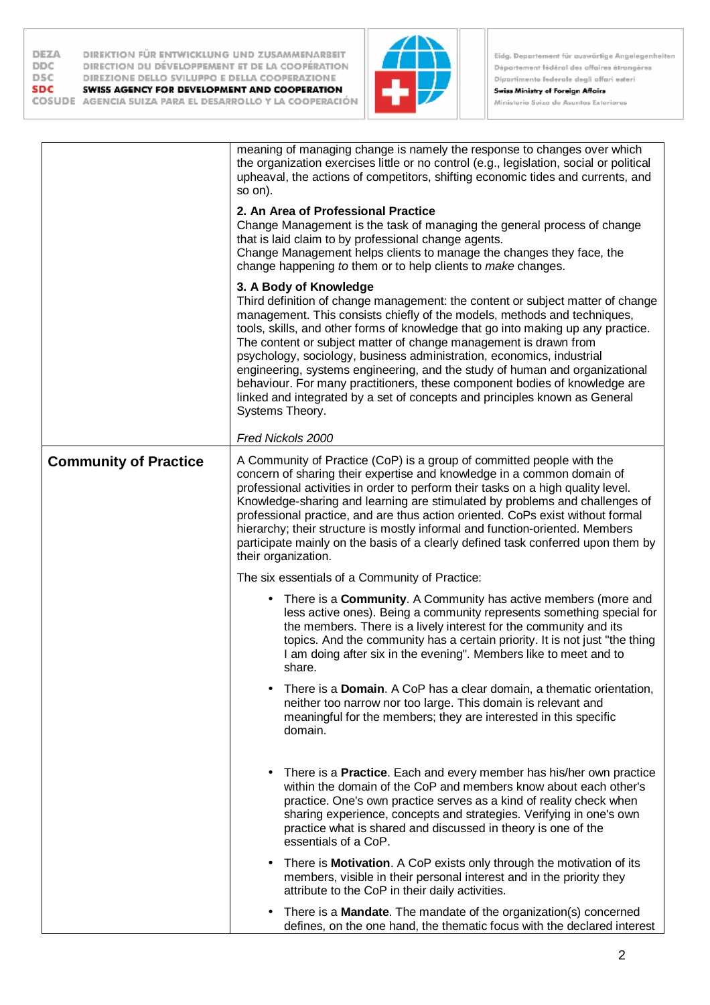| DEZA       | DIREKTION FÜR ENTWICKLUNG UND ZUSAMMENARBEIT             |
|------------|----------------------------------------------------------|
| <b>DDC</b> | DIRECTION DU DÉVELOPPEMENT ET DE LA COOPÉRATION          |
| <b>DSC</b> | DIREZIONE DELLO SVILUPPO E DELLA COOPERAZIONE            |
| <b>SDC</b> | SWISS AGENCY FOR DEVELOPMENT AND COOPERATION             |
|            | COSUDE AGENCIA SUIZA PARA EL DESARROLLO Y LA COOPERACIÓN |



|                              | meaning of managing change is namely the response to changes over which<br>the organization exercises little or no control (e.g., legislation, social or political<br>upheaval, the actions of competitors, shifting economic tides and currents, and<br>so $\circ$ n).<br>2. An Area of Professional Practice<br>Change Management is the task of managing the general process of change<br>that is laid claim to by professional change agents.<br>Change Management helps clients to manage the changes they face, the<br>change happening to them or to help clients to make changes.<br>3. A Body of Knowledge<br>Third definition of change management: the content or subject matter of change<br>management. This consists chiefly of the models, methods and techniques,<br>tools, skills, and other forms of knowledge that go into making up any practice.<br>The content or subject matter of change management is drawn from<br>psychology, sociology, business administration, economics, industrial<br>engineering, systems engineering, and the study of human and organizational<br>behaviour. For many practitioners, these component bodies of knowledge are<br>linked and integrated by a set of concepts and principles known as General<br>Systems Theory.<br>Fred Nickols 2000 |
|------------------------------|-------------------------------------------------------------------------------------------------------------------------------------------------------------------------------------------------------------------------------------------------------------------------------------------------------------------------------------------------------------------------------------------------------------------------------------------------------------------------------------------------------------------------------------------------------------------------------------------------------------------------------------------------------------------------------------------------------------------------------------------------------------------------------------------------------------------------------------------------------------------------------------------------------------------------------------------------------------------------------------------------------------------------------------------------------------------------------------------------------------------------------------------------------------------------------------------------------------------------------------------------------------------------------------------------------|
| <b>Community of Practice</b> | A Community of Practice (CoP) is a group of committed people with the<br>concern of sharing their expertise and knowledge in a common domain of<br>professional activities in order to perform their tasks on a high quality level.<br>Knowledge-sharing and learning are stimulated by problems and challenges of<br>professional practice, and are thus action oriented. CoPs exist without formal<br>hierarchy; their structure is mostly informal and function-oriented. Members<br>participate mainly on the basis of a clearly defined task conferred upon them by<br>their organization.<br>The six essentials of a Community of Practice:                                                                                                                                                                                                                                                                                                                                                                                                                                                                                                                                                                                                                                                     |
|                              | • There is a <b>Community</b> . A Community has active members (more and<br>less active ones). Being a community represents something special for<br>the members. There is a lively interest for the community and its<br>topics. And the community has a certain priority. It is not just "the thing<br>I am doing after six in the evening". Members like to meet and to<br>share.<br>There is a <b>Domain</b> . A CoP has a clear domain, a thematic orientation,<br>neither too narrow nor too large. This domain is relevant and<br>meaningful for the members; they are interested in this specific<br>domain.                                                                                                                                                                                                                                                                                                                                                                                                                                                                                                                                                                                                                                                                                  |
|                              | There is a <b>Practice</b> . Each and every member has his/her own practice<br>within the domain of the CoP and members know about each other's<br>practice. One's own practice serves as a kind of reality check when<br>sharing experience, concepts and strategies. Verifying in one's own<br>practice what is shared and discussed in theory is one of the<br>essentials of a CoP.                                                                                                                                                                                                                                                                                                                                                                                                                                                                                                                                                                                                                                                                                                                                                                                                                                                                                                                |
|                              | There is <b>Motivation</b> . A CoP exists only through the motivation of its<br>$\bullet$<br>members, visible in their personal interest and in the priority they<br>attribute to the CoP in their daily activities.<br>There is a <b>Mandate</b> . The mandate of the organization(s) concerned<br>defines, on the one hand, the thematic focus with the declared interest                                                                                                                                                                                                                                                                                                                                                                                                                                                                                                                                                                                                                                                                                                                                                                                                                                                                                                                           |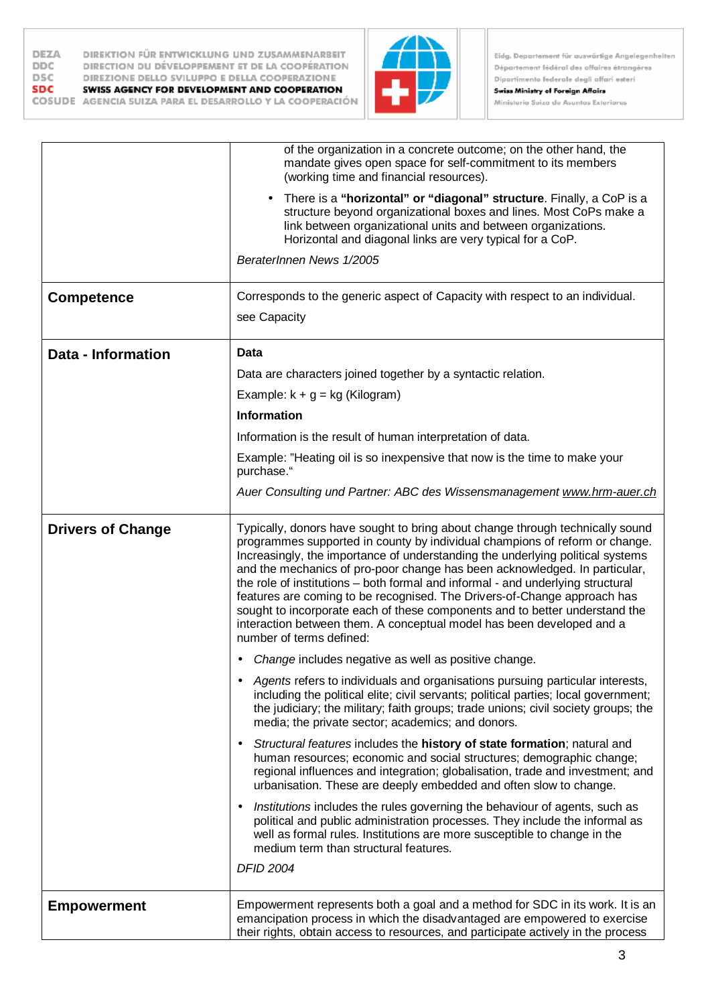



┑

|                          | of the organization in a concrete outcome; on the other hand, the<br>mandate gives open space for self-commitment to its members<br>(working time and financial resources).                                                                                                                                                                                                                                                                                                                                                                                                                                                                                                     |
|--------------------------|---------------------------------------------------------------------------------------------------------------------------------------------------------------------------------------------------------------------------------------------------------------------------------------------------------------------------------------------------------------------------------------------------------------------------------------------------------------------------------------------------------------------------------------------------------------------------------------------------------------------------------------------------------------------------------|
|                          | There is a "horizontal" or "diagonal" structure. Finally, a CoP is a<br>structure beyond organizational boxes and lines. Most CoPs make a<br>link between organizational units and between organizations.<br>Horizontal and diagonal links are very typical for a CoP.                                                                                                                                                                                                                                                                                                                                                                                                          |
|                          | BeraterInnen News 1/2005                                                                                                                                                                                                                                                                                                                                                                                                                                                                                                                                                                                                                                                        |
| <b>Competence</b>        | Corresponds to the generic aspect of Capacity with respect to an individual.                                                                                                                                                                                                                                                                                                                                                                                                                                                                                                                                                                                                    |
|                          | see Capacity                                                                                                                                                                                                                                                                                                                                                                                                                                                                                                                                                                                                                                                                    |
| Data - Information       | Data                                                                                                                                                                                                                                                                                                                                                                                                                                                                                                                                                                                                                                                                            |
|                          | Data are characters joined together by a syntactic relation.                                                                                                                                                                                                                                                                                                                                                                                                                                                                                                                                                                                                                    |
|                          | Example: $k + g = kg$ (Kilogram)                                                                                                                                                                                                                                                                                                                                                                                                                                                                                                                                                                                                                                                |
|                          | <b>Information</b>                                                                                                                                                                                                                                                                                                                                                                                                                                                                                                                                                                                                                                                              |
|                          | Information is the result of human interpretation of data.                                                                                                                                                                                                                                                                                                                                                                                                                                                                                                                                                                                                                      |
|                          | Example: "Heating oil is so inexpensive that now is the time to make your<br>purchase."                                                                                                                                                                                                                                                                                                                                                                                                                                                                                                                                                                                         |
|                          | Auer Consulting und Partner: ABC des Wissensmanagement www.hrm-auer.ch                                                                                                                                                                                                                                                                                                                                                                                                                                                                                                                                                                                                          |
| <b>Drivers of Change</b> | Typically, donors have sought to bring about change through technically sound<br>programmes supported in county by individual champions of reform or change.<br>Increasingly, the importance of understanding the underlying political systems<br>and the mechanics of pro-poor change has been acknowledged. In particular,<br>the role of institutions - both formal and informal - and underlying structural<br>features are coming to be recognised. The Drivers-of-Change approach has<br>sought to incorporate each of these components and to better understand the<br>interaction between them. A conceptual model has been developed and a<br>number of terms defined: |
|                          | • Change includes negative as well as positive change.                                                                                                                                                                                                                                                                                                                                                                                                                                                                                                                                                                                                                          |
|                          | Agents refers to individuals and organisations pursuing particular interests,<br>including the political elite; civil servants; political parties; local government;<br>the judiciary; the military; faith groups; trade unions; civil society groups; the<br>media; the private sector; academics; and donors.                                                                                                                                                                                                                                                                                                                                                                 |
|                          | Structural features includes the history of state formation; natural and<br>$\bullet$<br>human resources; economic and social structures; demographic change;<br>regional influences and integration; globalisation, trade and investment; and<br>urbanisation. These are deeply embedded and often slow to change.                                                                                                                                                                                                                                                                                                                                                             |
|                          | Institutions includes the rules governing the behaviour of agents, such as<br>$\bullet$<br>political and public administration processes. They include the informal as<br>well as formal rules. Institutions are more susceptible to change in the<br>medium term than structural features.                                                                                                                                                                                                                                                                                                                                                                                     |
|                          | <b>DFID 2004</b>                                                                                                                                                                                                                                                                                                                                                                                                                                                                                                                                                                                                                                                                |
| <b>Empowerment</b>       | Empowerment represents both a goal and a method for SDC in its work. It is an<br>emancipation process in which the disadvantaged are empowered to exercise<br>their rights, obtain access to resources, and participate actively in the process                                                                                                                                                                                                                                                                                                                                                                                                                                 |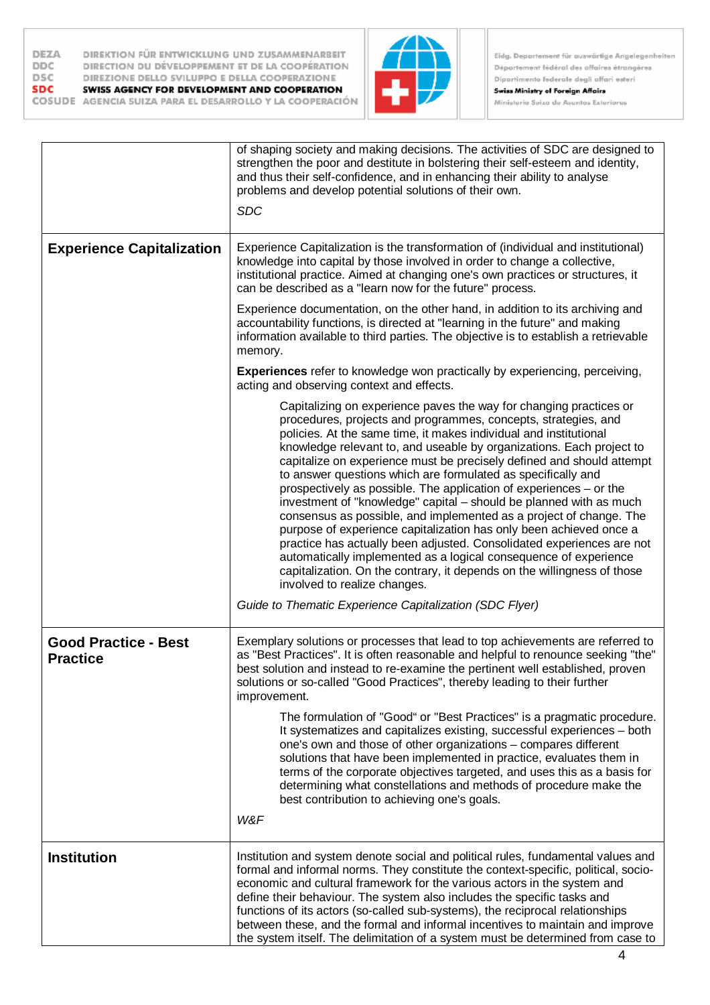



|                                                | of shaping society and making decisions. The activities of SDC are designed to<br>strengthen the poor and destitute in bolstering their self-esteem and identity,<br>and thus their self-confidence, and in enhancing their ability to analyse<br>problems and develop potential solutions of their own.<br><b>SDC</b>                                                                                                                                                                                                                                                                                                                                                                                                                                                                                                                                                                                                                                                     |
|------------------------------------------------|----------------------------------------------------------------------------------------------------------------------------------------------------------------------------------------------------------------------------------------------------------------------------------------------------------------------------------------------------------------------------------------------------------------------------------------------------------------------------------------------------------------------------------------------------------------------------------------------------------------------------------------------------------------------------------------------------------------------------------------------------------------------------------------------------------------------------------------------------------------------------------------------------------------------------------------------------------------------------|
| <b>Experience Capitalization</b>               | Experience Capitalization is the transformation of (individual and institutional)<br>knowledge into capital by those involved in order to change a collective,<br>institutional practice. Aimed at changing one's own practices or structures, it<br>can be described as a "learn now for the future" process.                                                                                                                                                                                                                                                                                                                                                                                                                                                                                                                                                                                                                                                             |
|                                                | Experience documentation, on the other hand, in addition to its archiving and<br>accountability functions, is directed at "learning in the future" and making<br>information available to third parties. The objective is to establish a retrievable<br>memory.                                                                                                                                                                                                                                                                                                                                                                                                                                                                                                                                                                                                                                                                                                            |
|                                                | <b>Experiences</b> refer to knowledge won practically by experiencing, perceiving,<br>acting and observing context and effects.                                                                                                                                                                                                                                                                                                                                                                                                                                                                                                                                                                                                                                                                                                                                                                                                                                            |
|                                                | Capitalizing on experience paves the way for changing practices or<br>procedures, projects and programmes, concepts, strategies, and<br>policies. At the same time, it makes individual and institutional<br>knowledge relevant to, and useable by organizations. Each project to<br>capitalize on experience must be precisely defined and should attempt<br>to answer questions which are formulated as specifically and<br>prospectively as possible. The application of experiences – or the<br>investment of "knowledge" capital - should be planned with as much<br>consensus as possible, and implemented as a project of change. The<br>purpose of experience capitalization has only been achieved once a<br>practice has actually been adjusted. Consolidated experiences are not<br>automatically implemented as a logical consequence of experience<br>capitalization. On the contrary, it depends on the willingness of those<br>involved to realize changes. |
|                                                | Guide to Thematic Experience Capitalization (SDC Flyer)                                                                                                                                                                                                                                                                                                                                                                                                                                                                                                                                                                                                                                                                                                                                                                                                                                                                                                                    |
| <b>Good Practice - Best</b><br><b>Practice</b> | Exemplary solutions or processes that lead to top achievements are referred to<br>as "Best Practices". It is often reasonable and helpful to renounce seeking "the"<br>best solution and instead to re-examine the pertinent well established, proven<br>solutions or so-called "Good Practices", thereby leading to their further<br>improvement.<br>The formulation of "Good" or "Best Practices" is a pragmatic procedure.<br>It systematizes and capitalizes existing, successful experiences - both                                                                                                                                                                                                                                                                                                                                                                                                                                                                   |
|                                                | one's own and those of other organizations - compares different<br>solutions that have been implemented in practice, evaluates them in<br>terms of the corporate objectives targeted, and uses this as a basis for<br>determining what constellations and methods of procedure make the<br>best contribution to achieving one's goals.<br>W&F                                                                                                                                                                                                                                                                                                                                                                                                                                                                                                                                                                                                                              |
| <b>Institution</b>                             | Institution and system denote social and political rules, fundamental values and<br>formal and informal norms. They constitute the context-specific, political, socio-<br>economic and cultural framework for the various actors in the system and<br>define their behaviour. The system also includes the specific tasks and<br>functions of its actors (so-called sub-systems), the reciprocal relationships<br>between these, and the formal and informal incentives to maintain and improve<br>the system itself. The delimitation of a system must be determined from case to                                                                                                                                                                                                                                                                                                                                                                                         |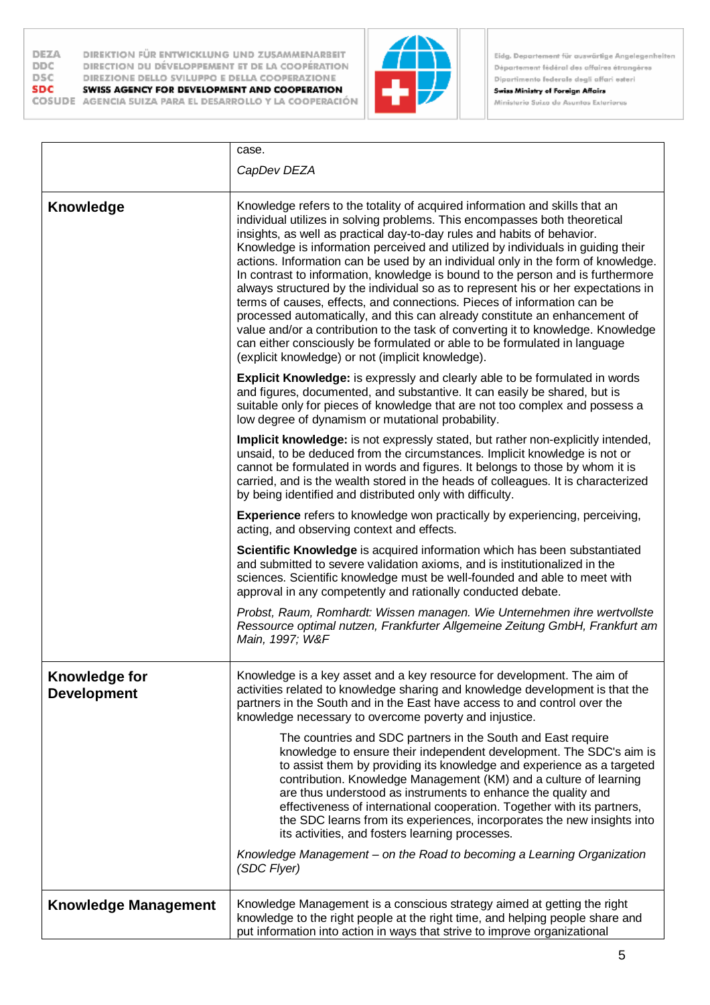DEZA **DDC DSC SDC** 

DIREKTION FÜR ENTWICKLUNG UND ZUSAMMENARBEIT DIRECTION DU DÉVELOPPEMENT ET DE LA COOPÉRATION DIREZIONE DELLO SVILUPPO E DELLA COOPERAZIONE SWISS AGENCY FOR DEVELOPMENT AND COOPERATION

COSUDE AGENCIA SUIZA PARA EL DESARROLLO Y LA COOPERACIÓN



Eidg. Departement für auswärtige Angelegenheiten Département fédéral des affaires étrangères Dipartimento federale degli affari esteri

|                                     | case.                                                                                                                                                                                                                                                                                                                                                                                                                                                                                                                                                                                                                                                                                                                                                                                                                                                                                                                                                              |
|-------------------------------------|--------------------------------------------------------------------------------------------------------------------------------------------------------------------------------------------------------------------------------------------------------------------------------------------------------------------------------------------------------------------------------------------------------------------------------------------------------------------------------------------------------------------------------------------------------------------------------------------------------------------------------------------------------------------------------------------------------------------------------------------------------------------------------------------------------------------------------------------------------------------------------------------------------------------------------------------------------------------|
|                                     | CapDev DEZA                                                                                                                                                                                                                                                                                                                                                                                                                                                                                                                                                                                                                                                                                                                                                                                                                                                                                                                                                        |
| <b>Knowledge</b>                    | Knowledge refers to the totality of acquired information and skills that an<br>individual utilizes in solving problems. This encompasses both theoretical<br>insights, as well as practical day-to-day rules and habits of behavior.<br>Knowledge is information perceived and utilized by individuals in guiding their<br>actions. Information can be used by an individual only in the form of knowledge.<br>In contrast to information, knowledge is bound to the person and is furthermore<br>always structured by the individual so as to represent his or her expectations in<br>terms of causes, effects, and connections. Pieces of information can be<br>processed automatically, and this can already constitute an enhancement of<br>value and/or a contribution to the task of converting it to knowledge. Knowledge<br>can either consciously be formulated or able to be formulated in language<br>(explicit knowledge) or not (implicit knowledge). |
|                                     | <b>Explicit Knowledge:</b> is expressly and clearly able to be formulated in words<br>and figures, documented, and substantive. It can easily be shared, but is<br>suitable only for pieces of knowledge that are not too complex and possess a<br>low degree of dynamism or mutational probability.                                                                                                                                                                                                                                                                                                                                                                                                                                                                                                                                                                                                                                                               |
|                                     | Implicit knowledge: is not expressly stated, but rather non-explicitly intended,<br>unsaid, to be deduced from the circumstances. Implicit knowledge is not or<br>cannot be formulated in words and figures. It belongs to those by whom it is<br>carried, and is the wealth stored in the heads of colleagues. It is characterized<br>by being identified and distributed only with difficulty.                                                                                                                                                                                                                                                                                                                                                                                                                                                                                                                                                                   |
|                                     | <b>Experience</b> refers to knowledge won practically by experiencing, perceiving,<br>acting, and observing context and effects.                                                                                                                                                                                                                                                                                                                                                                                                                                                                                                                                                                                                                                                                                                                                                                                                                                   |
|                                     | Scientific Knowledge is acquired information which has been substantiated<br>and submitted to severe validation axioms, and is institutionalized in the<br>sciences. Scientific knowledge must be well-founded and able to meet with<br>approval in any competently and rationally conducted debate.                                                                                                                                                                                                                                                                                                                                                                                                                                                                                                                                                                                                                                                               |
|                                     | Probst, Raum, Romhardt: Wissen managen. Wie Unternehmen ihre wertvollste<br>Ressource optimal nutzen, Frankfurter Allgemeine Zeitung GmbH, Frankfurt am<br>Main, 1997; W&F                                                                                                                                                                                                                                                                                                                                                                                                                                                                                                                                                                                                                                                                                                                                                                                         |
| Knowledge for<br><b>Development</b> | Knowledge is a key asset and a key resource for development. The aim of<br>activities related to knowledge sharing and knowledge development is that the<br>partners in the South and in the East have access to and control over the<br>knowledge necessary to overcome poverty and injustice.                                                                                                                                                                                                                                                                                                                                                                                                                                                                                                                                                                                                                                                                    |
|                                     | The countries and SDC partners in the South and East require<br>knowledge to ensure their independent development. The SDC's aim is<br>to assist them by providing its knowledge and experience as a targeted<br>contribution. Knowledge Management (KM) and a culture of learning<br>are thus understood as instruments to enhance the quality and<br>effectiveness of international cooperation. Together with its partners,<br>the SDC learns from its experiences, incorporates the new insights into<br>its activities, and fosters learning processes.<br>Knowledge Management - on the Road to becoming a Learning Organization<br>(SDC Flyer)                                                                                                                                                                                                                                                                                                              |
|                                     |                                                                                                                                                                                                                                                                                                                                                                                                                                                                                                                                                                                                                                                                                                                                                                                                                                                                                                                                                                    |
| <b>Knowledge Management</b>         | Knowledge Management is a conscious strategy aimed at getting the right<br>knowledge to the right people at the right time, and helping people share and<br>put information into action in ways that strive to improve organizational                                                                                                                                                                                                                                                                                                                                                                                                                                                                                                                                                                                                                                                                                                                              |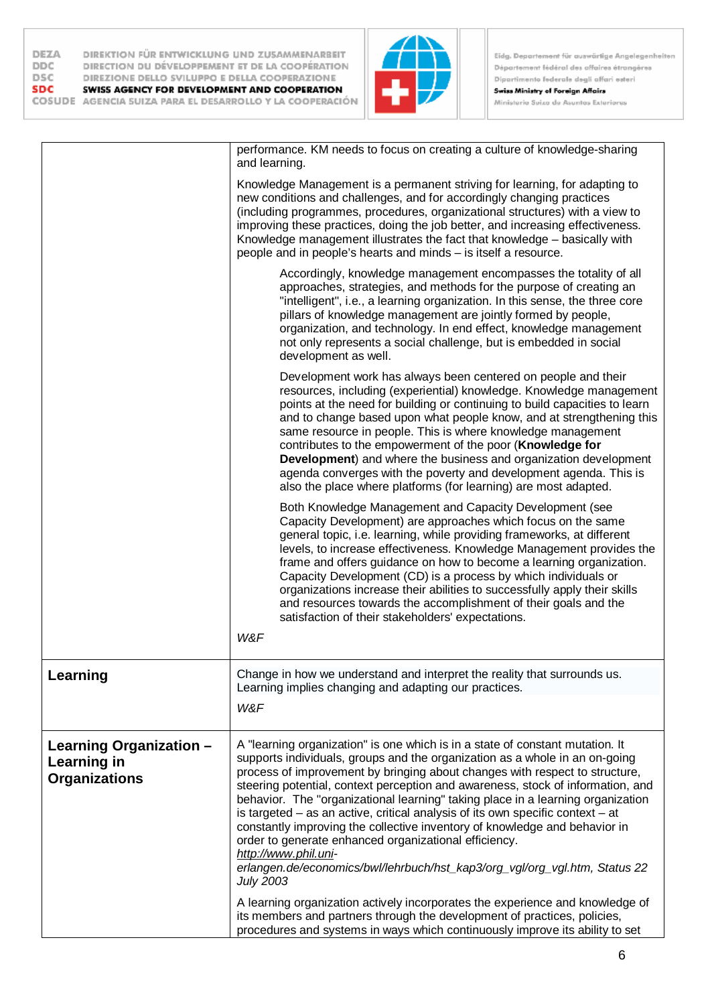

Eidg. Departement für auswärtige Angelegenheiten Département fédéral des affaires étrangères Dipartimento federale degli affari esteri Swiss Ministry of Foreign Affairs

Ministerio Suizo de Asuntos Exteriores

|                                                                | performance. KM needs to focus on creating a culture of knowledge-sharing<br>and learning.                                                                                                                                                                                                                                                                                                                                                                                                                                                                                                                                                                                                                                                                               |
|----------------------------------------------------------------|--------------------------------------------------------------------------------------------------------------------------------------------------------------------------------------------------------------------------------------------------------------------------------------------------------------------------------------------------------------------------------------------------------------------------------------------------------------------------------------------------------------------------------------------------------------------------------------------------------------------------------------------------------------------------------------------------------------------------------------------------------------------------|
|                                                                | Knowledge Management is a permanent striving for learning, for adapting to<br>new conditions and challenges, and for accordingly changing practices<br>(including programmes, procedures, organizational structures) with a view to<br>improving these practices, doing the job better, and increasing effectiveness.<br>Knowledge management illustrates the fact that knowledge - basically with<br>people and in people's hearts and minds - is itself a resource.                                                                                                                                                                                                                                                                                                    |
|                                                                | Accordingly, knowledge management encompasses the totality of all<br>approaches, strategies, and methods for the purpose of creating an<br>"intelligent", i.e., a learning organization. In this sense, the three core<br>pillars of knowledge management are jointly formed by people,<br>organization, and technology. In end effect, knowledge management<br>not only represents a social challenge, but is embedded in social<br>development as well.                                                                                                                                                                                                                                                                                                                |
|                                                                | Development work has always been centered on people and their<br>resources, including (experiential) knowledge. Knowledge management<br>points at the need for building or continuing to build capacities to learn<br>and to change based upon what people know, and at strengthening this<br>same resource in people. This is where knowledge management<br>contributes to the empowerment of the poor (Knowledge for<br><b>Development</b> ) and where the business and organization development<br>agenda converges with the poverty and development agenda. This is<br>also the place where platforms (for learning) are most adapted.                                                                                                                               |
|                                                                | Both Knowledge Management and Capacity Development (see<br>Capacity Development) are approaches which focus on the same<br>general topic, i.e. learning, while providing frameworks, at different<br>levels, to increase effectiveness. Knowledge Management provides the<br>frame and offers guidance on how to become a learning organization.<br>Capacity Development (CD) is a process by which individuals or<br>organizations increase their abilities to successfully apply their skills<br>and resources towards the accomplishment of their goals and the<br>satisfaction of their stakeholders' expectations.<br>W&F                                                                                                                                           |
| Learning                                                       | Change in how we understand and interpret the reality that surrounds us.                                                                                                                                                                                                                                                                                                                                                                                                                                                                                                                                                                                                                                                                                                 |
|                                                                | Learning implies changing and adapting our practices.<br>W&F                                                                                                                                                                                                                                                                                                                                                                                                                                                                                                                                                                                                                                                                                                             |
| Learning Organization -<br>Learning in<br><b>Organizations</b> | A "learning organization" is one which is in a state of constant mutation. It<br>supports individuals, groups and the organization as a whole in an on-going<br>process of improvement by bringing about changes with respect to structure,<br>steering potential, context perception and awareness, stock of information, and<br>behavior. The "organizational learning" taking place in a learning organization<br>is targeted $-$ as an active, critical analysis of its own specific context $-$ at<br>constantly improving the collective inventory of knowledge and behavior in<br>order to generate enhanced organizational efficiency.<br>http://www.phil.uni-<br>erlangen.de/economics/bwl/lehrbuch/hst_kap3/org_vgl/org_vgl.htm, Status 22<br><b>July 2003</b> |
|                                                                | A learning organization actively incorporates the experience and knowledge of<br>its members and partners through the development of practices, policies,<br>procedures and systems in ways which continuously improve its ability to set                                                                                                                                                                                                                                                                                                                                                                                                                                                                                                                                |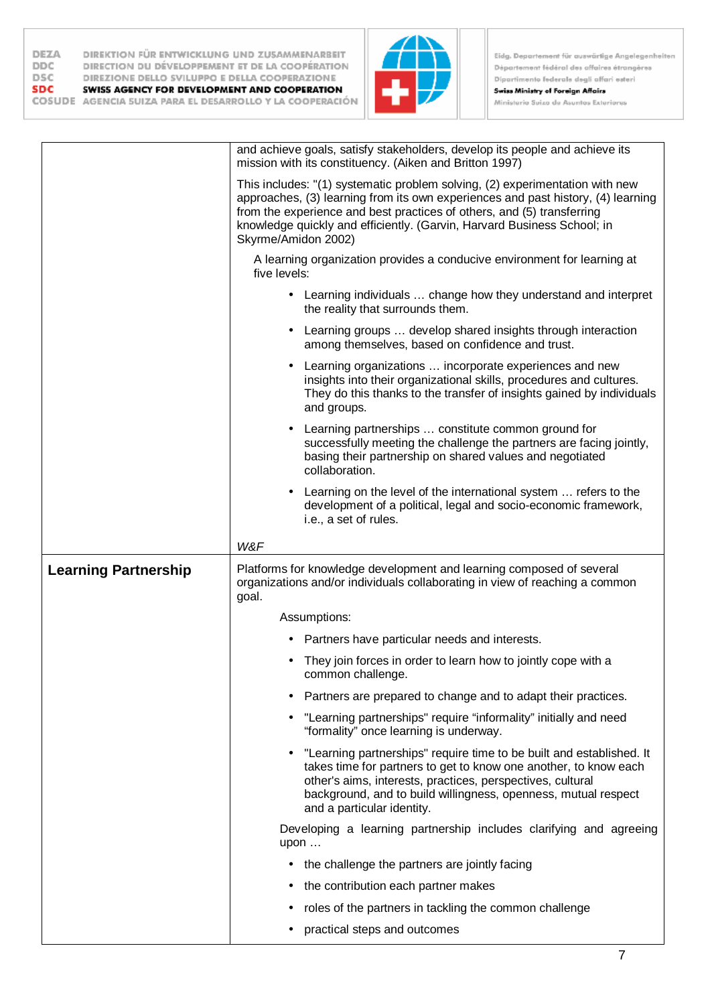

 $\overline{7}$ 

|                             | and achieve goals, satisfy stakeholders, develop its people and achieve its<br>mission with its constituency. (Aiken and Britton 1997)                                                                                                                                                                                                       |
|-----------------------------|----------------------------------------------------------------------------------------------------------------------------------------------------------------------------------------------------------------------------------------------------------------------------------------------------------------------------------------------|
|                             | This includes: "(1) systematic problem solving, (2) experimentation with new<br>approaches, (3) learning from its own experiences and past history, (4) learning<br>from the experience and best practices of others, and (5) transferring<br>knowledge quickly and efficiently. (Garvin, Harvard Business School; in<br>Skyrme/Amidon 2002) |
|                             | A learning organization provides a conducive environment for learning at<br>five levels:                                                                                                                                                                                                                                                     |
|                             | Learning individuals  change how they understand and interpret<br>the reality that surrounds them.                                                                                                                                                                                                                                           |
|                             | Learning groups  develop shared insights through interaction<br>among themselves, based on confidence and trust.                                                                                                                                                                                                                             |
|                             | Learning organizations  incorporate experiences and new<br>insights into their organizational skills, procedures and cultures.<br>They do this thanks to the transfer of insights gained by individuals<br>and groups.                                                                                                                       |
|                             | Learning partnerships  constitute common ground for<br>successfully meeting the challenge the partners are facing jointly,<br>basing their partnership on shared values and negotiated<br>collaboration.                                                                                                                                     |
|                             | Learning on the level of the international system  refers to the<br>development of a political, legal and socio-economic framework,                                                                                                                                                                                                          |
|                             | i.e., a set of rules.                                                                                                                                                                                                                                                                                                                        |
|                             | W&F                                                                                                                                                                                                                                                                                                                                          |
| <b>Learning Partnership</b> | Platforms for knowledge development and learning composed of several<br>organizations and/or individuals collaborating in view of reaching a common<br>goal.                                                                                                                                                                                 |
|                             | Assumptions:                                                                                                                                                                                                                                                                                                                                 |
|                             | Partners have particular needs and interests.                                                                                                                                                                                                                                                                                                |
|                             | They join forces in order to learn how to jointly cope with a<br>common challenge.                                                                                                                                                                                                                                                           |
|                             | Partners are prepared to change and to adapt their practices.                                                                                                                                                                                                                                                                                |
|                             | "Learning partnerships" require "informality" initially and need<br>"formality" once learning is underway.                                                                                                                                                                                                                                   |
|                             | "Learning partnerships" require time to be built and established. It<br>takes time for partners to get to know one another, to know each<br>other's aims, interests, practices, perspectives, cultural<br>background, and to build willingness, openness, mutual respect<br>and a particular identity.                                       |
|                             | Developing a learning partnership includes clarifying and agreeing<br>upon                                                                                                                                                                                                                                                                   |
|                             | the challenge the partners are jointly facing                                                                                                                                                                                                                                                                                                |
|                             | the contribution each partner makes                                                                                                                                                                                                                                                                                                          |
|                             | roles of the partners in tackling the common challenge                                                                                                                                                                                                                                                                                       |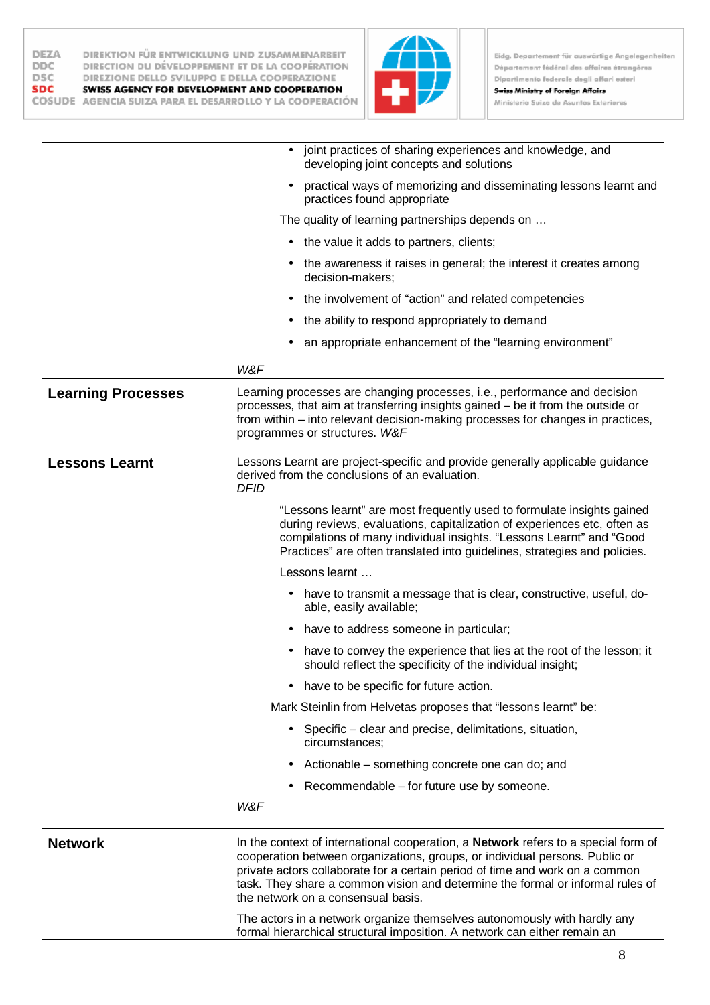**DEZA** DIREKTION FÜR ENTWICKLUNG UND ZUSAMMENARBEIT DIRECTION DU DÉVELOPPEMENT ET DE LA COOPÉRATION **DDC DSC** DIREZIONE DELLO SVILUPPO E DELLA COOPERAZIONE SDC SWISS AGENCY FOR DEVELOPMENT AND COOPERATION COSUDE AGENCIA SUIZA PARA EL DESARROLLO Y LA COOPERACIÓN



Eidg. Departement für auswärtige Angelegenheiten Département fédéral des affaires étrangères Dipartimento federale degli affari esteri

|                           | joint practices of sharing experiences and knowledge, and<br>developing joint concepts and solutions                                                                                                                                                                                                                                                                             |
|---------------------------|----------------------------------------------------------------------------------------------------------------------------------------------------------------------------------------------------------------------------------------------------------------------------------------------------------------------------------------------------------------------------------|
|                           | practical ways of memorizing and disseminating lessons learnt and<br>practices found appropriate                                                                                                                                                                                                                                                                                 |
|                           | The quality of learning partnerships depends on                                                                                                                                                                                                                                                                                                                                  |
|                           | • the value it adds to partners, clients;                                                                                                                                                                                                                                                                                                                                        |
|                           | the awareness it raises in general; the interest it creates among<br>decision-makers;                                                                                                                                                                                                                                                                                            |
|                           | the involvement of "action" and related competencies                                                                                                                                                                                                                                                                                                                             |
|                           | the ability to respond appropriately to demand                                                                                                                                                                                                                                                                                                                                   |
|                           | an appropriate enhancement of the "learning environment"                                                                                                                                                                                                                                                                                                                         |
|                           | W&F                                                                                                                                                                                                                                                                                                                                                                              |
| <b>Learning Processes</b> | Learning processes are changing processes, i.e., performance and decision<br>processes, that aim at transferring insights gained - be it from the outside or<br>from within – into relevant decision-making processes for changes in practices,<br>programmes or structures. W&F                                                                                                 |
| <b>Lessons Learnt</b>     | Lessons Learnt are project-specific and provide generally applicable guidance<br>derived from the conclusions of an evaluation.<br><b>DFID</b>                                                                                                                                                                                                                                   |
|                           | "Lessons learnt" are most frequently used to formulate insights gained<br>during reviews, evaluations, capitalization of experiences etc, often as<br>compilations of many individual insights. "Lessons Learnt" and "Good<br>Practices" are often translated into guidelines, strategies and policies.                                                                          |
|                           | Lessons learnt                                                                                                                                                                                                                                                                                                                                                                   |
|                           | have to transmit a message that is clear, constructive, useful, do-<br>able, easily available;                                                                                                                                                                                                                                                                                   |
|                           | have to address someone in particular;                                                                                                                                                                                                                                                                                                                                           |
|                           | have to convey the experience that lies at the root of the lesson; it<br>should reflect the specificity of the individual insight;                                                                                                                                                                                                                                               |
|                           | have to be specific for future action.<br>٠                                                                                                                                                                                                                                                                                                                                      |
|                           | Mark Steinlin from Helvetas proposes that "lessons learnt" be:                                                                                                                                                                                                                                                                                                                   |
|                           | Specific – clear and precise, delimitations, situation,<br>circumstances;                                                                                                                                                                                                                                                                                                        |
|                           | Actionable – something concrete one can do; and                                                                                                                                                                                                                                                                                                                                  |
|                           | Recommendable - for future use by someone.                                                                                                                                                                                                                                                                                                                                       |
|                           | W&F                                                                                                                                                                                                                                                                                                                                                                              |
| <b>Network</b>            | In the context of international cooperation, a <b>Network</b> refers to a special form of<br>cooperation between organizations, groups, or individual persons. Public or<br>private actors collaborate for a certain period of time and work on a common<br>task. They share a common vision and determine the formal or informal rules of<br>the network on a consensual basis. |
|                           | The actors in a network organize themselves autonomously with hardly any<br>formal hierarchical structural imposition. A network can either remain an                                                                                                                                                                                                                            |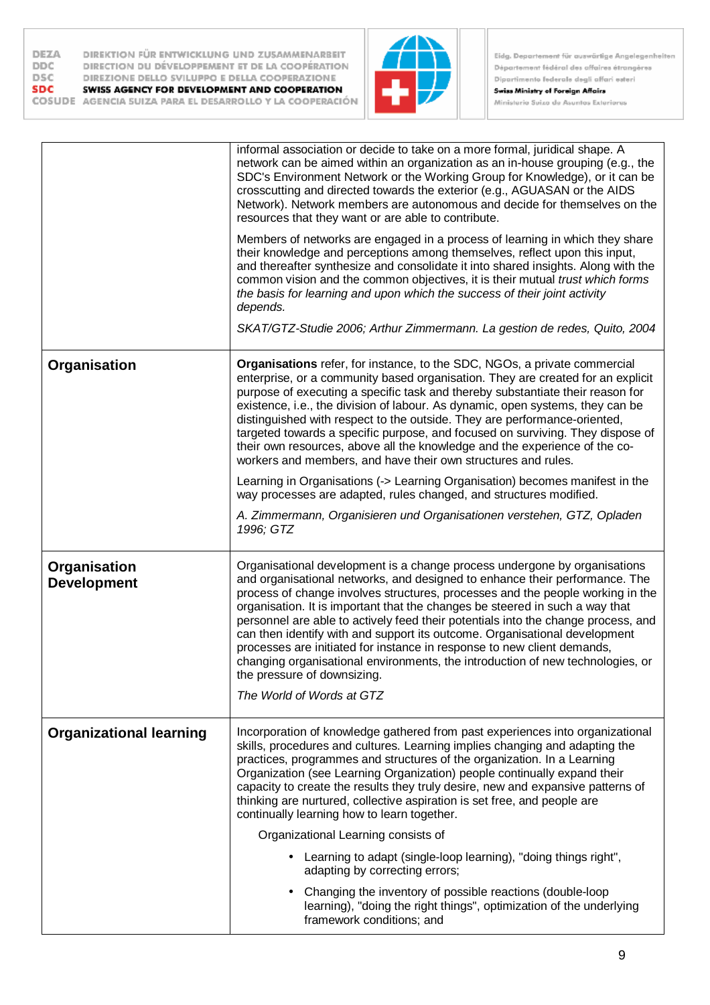| <b>DEZA</b> | DIREKTION FÜR ENTWICKLUNG UND ZUSAMMENARBEIT             |
|-------------|----------------------------------------------------------|
| <b>DDC</b>  | DIRECTION DU DÉVELOPPEMENT ET DE LA COOPÉRATION          |
| <b>DSC</b>  | DIREZIONE DELLO SVILUPPO E DELLA COOPERAZIONE            |
| <b>SDC</b>  | SWISS AGENCY FOR DEVELOPMENT AND COOPERATION             |
|             | COSUDE AGENCIA SUIZA PARA EL DESARROLLO Y LA COOPERACIÓN |



Eidg. Departement für auswärtige Angelegenheiten Département fédéral des affaires étrangères Dipartimento federale degli affari esteri Swiss Ministry of Foreign Affairs

Ministerio Suizo de Asuntos Exteriores

|                                    | informal association or decide to take on a more formal, juridical shape. A<br>network can be aimed within an organization as an in-house grouping (e.g., the<br>SDC's Environment Network or the Working Group for Knowledge), or it can be<br>crosscutting and directed towards the exterior (e.g., AGUASAN or the AIDS<br>Network). Network members are autonomous and decide for themselves on the<br>resources that they want or are able to contribute.                                                                                                                                                                                                                             |
|------------------------------------|-------------------------------------------------------------------------------------------------------------------------------------------------------------------------------------------------------------------------------------------------------------------------------------------------------------------------------------------------------------------------------------------------------------------------------------------------------------------------------------------------------------------------------------------------------------------------------------------------------------------------------------------------------------------------------------------|
|                                    | Members of networks are engaged in a process of learning in which they share<br>their knowledge and perceptions among themselves, reflect upon this input,<br>and thereafter synthesize and consolidate it into shared insights. Along with the<br>common vision and the common objectives, it is their mutual trust which forms<br>the basis for learning and upon which the success of their joint activity<br>depends.                                                                                                                                                                                                                                                                 |
|                                    | SKAT/GTZ-Studie 2006; Arthur Zimmermann. La gestion de redes, Quito, 2004                                                                                                                                                                                                                                                                                                                                                                                                                                                                                                                                                                                                                 |
| Organisation                       | Organisations refer, for instance, to the SDC, NGOs, a private commercial<br>enterprise, or a community based organisation. They are created for an explicit<br>purpose of executing a specific task and thereby substantiate their reason for<br>existence, i.e., the division of labour. As dynamic, open systems, they can be<br>distinguished with respect to the outside. They are performance-oriented,<br>targeted towards a specific purpose, and focused on surviving. They dispose of<br>their own resources, above all the knowledge and the experience of the co-<br>workers and members, and have their own structures and rules.                                            |
|                                    | Learning in Organisations (-> Learning Organisation) becomes manifest in the<br>way processes are adapted, rules changed, and structures modified.                                                                                                                                                                                                                                                                                                                                                                                                                                                                                                                                        |
|                                    | A. Zimmermann, Organisieren und Organisationen verstehen, GTZ, Opladen<br>1996; GTZ                                                                                                                                                                                                                                                                                                                                                                                                                                                                                                                                                                                                       |
| Organisation<br><b>Development</b> | Organisational development is a change process undergone by organisations<br>and organisational networks, and designed to enhance their performance. The<br>process of change involves structures, processes and the people working in the<br>organisation. It is important that the changes be steered in such a way that<br>personnel are able to actively feed their potentials into the change process, and<br>can then identify with and support its outcome. Organisational development<br>processes are initiated for instance in response to new client demands,<br>changing organisational environments, the introduction of new technologies, or<br>the pressure of downsizing. |
|                                    | The World of Words at GTZ                                                                                                                                                                                                                                                                                                                                                                                                                                                                                                                                                                                                                                                                 |
| <b>Organizational learning</b>     | Incorporation of knowledge gathered from past experiences into organizational<br>skills, procedures and cultures. Learning implies changing and adapting the<br>practices, programmes and structures of the organization. In a Learning<br>Organization (see Learning Organization) people continually expand their<br>capacity to create the results they truly desire, new and expansive patterns of<br>thinking are nurtured, collective aspiration is set free, and people are<br>continually learning how to learn together.                                                                                                                                                         |
|                                    | Organizational Learning consists of                                                                                                                                                                                                                                                                                                                                                                                                                                                                                                                                                                                                                                                       |
|                                    | Learning to adapt (single-loop learning), "doing things right",<br>adapting by correcting errors;                                                                                                                                                                                                                                                                                                                                                                                                                                                                                                                                                                                         |
|                                    | Changing the inventory of possible reactions (double-loop<br>learning), "doing the right things", optimization of the underlying<br>framework conditions; and                                                                                                                                                                                                                                                                                                                                                                                                                                                                                                                             |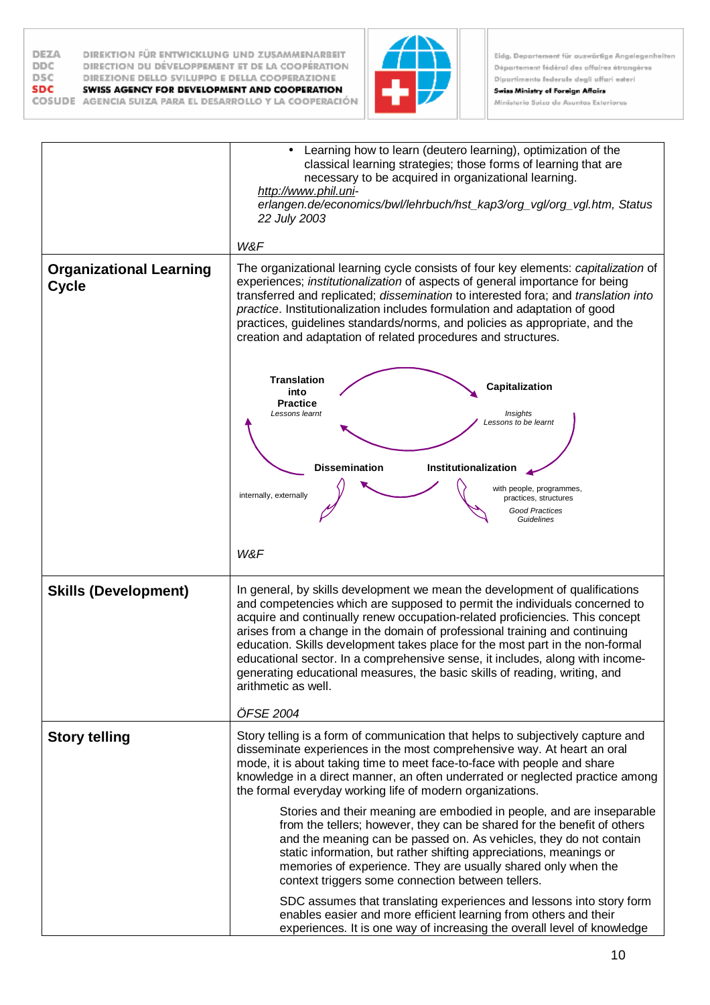



**Swiss Ministry of Foreign Affairs** Ministerio Suizo de Asuntos Exteriores

*Lessons learnt Insights Lessons to be learnt* **Capitalization Dissemination Institutionalization Translation into Practice** with people, programmes, practices, structures internally, externally *Good Practices Guidelines*  Learning how to learn (deutero learning), optimization of the classical learning strategies; those forms of learning that are necessary to be acquired in organizational learning. *<http://www.phil.uni>erlangen.de/economics/bwl/lehrbuch/hst\_kap3/org\_vgl/org\_vgl.htm, Status 22 July 2003 W&F* **Organizational Learning Cycle**  The organizational learning cycle consists of four key elements: *capitalization* of experiences; *institutionalization* of aspects of general importance for being transferred and replicated; *dissemination* to interested fora; and *translation into practice*. Institutionalization includes formulation and adaptation of good practices, guidelines standards/norms, and policies as appropriate, and the creation and adaptation of related procedures and structures. *W&F* **Skills (Development)** | In general, by skills development we mean the development of qualifications and competencies which are supposed to permit the individuals concerned to acquire and continually renew occupation-related proficiencies. This concept arises from a change in the domain of professional training and continuing education. Skills development takes place for the most part in the non-formal educational sector. In a comprehensive sense, it includes, along with incomegenerating educational measures, the basic skills of reading, writing, and arithmetic as well. *ÖFSE 2004* **Story telling** Story telling is a form of communication that helps to subjectively capture and disseminate experiences in the most comprehensive way. At heart an oral mode, it is about taking time to meet face-to-face with people and share knowledge in a direct manner, an often underrated or neglected practice among the formal everyday working life of modern organizations. Stories and their meaning are embodied in people, and are inseparable from the tellers; however, they can be shared for the benefit of others and the meaning can be passed on. As vehicles, they do not contain static information, but rather shifting appreciations, meanings or memories of experience. They are usually shared only when the context triggers some connection between tellers. SDC assumes that translating experiences and lessons into story form enables easier and more efficient learning from others and their experiences. It is one way of increasing the overall level of knowledge